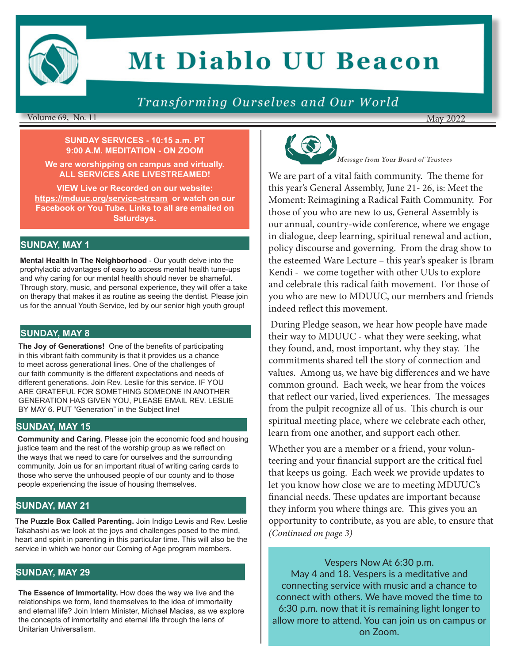

# **Mt Diablo UU Beacon**

### Transforming Ourselves and Our World

#### Volume 69, No. 11

#### **SUNDAY SERVICES - 10:15 a.m. PT 9:00 A.M. MEDITATION - ON ZOOM**

**We are worshipping on campus and virtually. ALL SERVICES ARE LIVESTREAMED!** 

**VIEW Live or Recorded on our website: https://mduuc.org/service-stream or watch on our Facebook or You Tube. Links to all are emailed on Saturdays.**

#### **SUNDAY, MAY 1**

**Mental Health In The Neighborhood** - Our youth delve into the prophylactic advantages of easy to access mental health tune-ups and why caring for our mental health should never be shameful. Through story, music, and personal experience, they will offer a take on therapy that makes it as routine as seeing the dentist. Please join us for the annual Youth Service, led by our senior high youth group!

#### **SUNDAY, MAY 8**

**The Joy of Generations!** One of the benefits of participating in this vibrant faith community is that it provides us a chance to meet across generational lines. One of the challenges of our faith community is the different expectations and needs of different generations. Join Rev. Leslie for this service. IF YOU ARE GRATEFUL FOR SOMETHING SOMEONE IN ANOTHER GENERATION HAS GIVEN YOU, PLEASE EMAIL REV. LESLIE BY MAY 6. PUT "Generation" in the Subject line!

#### **SUNDAY, MAY 15**

**Community and Caring.** Please join the economic food and housing justice team and the rest of the worship group as we reflect on the ways that we need to care for ourselves and the surrounding community. Join us for an important ritual of writing caring cards to those who serve the unhoused people of our county and to those people experiencing the issue of housing themselves.

#### **SUNDAY, MAY 21**

**The Puzzle Box Called Parenting.** Join Indigo Lewis and Rev. Leslie Takahashi as we look at the joys and challenges posed to the mind, heart and spirit in parenting in this particular time. This will also be the service in which we honor our Coming of Age program members.

#### **SUNDAY, MAY 29**

**The Essence of Immortality.** How does the way we live and the relationships we form, lend themselves to the idea of immortality and eternal life? Join Intern Minister, Michael Macias, as we explore the concepts of immortality and eternal life through the lens of Unitarian Universalism.



Message from Your Board of Trustees

May 2022

We are part of a vital faith community. The theme for this year's General Assembly, June 21- 26, is: Meet the Moment: Reimagining a Radical Faith Community. For those of you who are new to us, General Assembly is our annual, country-wide conference, where we engage in dialogue, deep learning, spiritual renewal and action, policy discourse and governing. From the drag show to the esteemed Ware Lecture – this year's speaker is Ibram Kendi - we come together with other UUs to explore and celebrate this radical faith movement. For those of you who are new to MDUUC, our members and friends indeed reflect this movement.

During Pledge season, we hear how people have made their way to MDUUC - what they were seeking, what they found, and, most important, why they stay. The commitments shared tell the story of connection and values. Among us, we have big differences and we have common ground. Each week, we hear from the voices that reflect our varied, lived experiences. The messages from the pulpit recognize all of us. This church is our spiritual meeting place, where we celebrate each other, learn from one another, and support each other.

Whether you are a member or a friend, your volunteering and your financial support are the critical fuel that keeps us going. Each week we provide updates to let you know how close we are to meeting MDUUC's financial needs. These updates are important because they inform you where things are. This gives you an opportunity to contribute, as you are able, to ensure that *(Continued on page 3)*

Vespers Now At 6:30 p.m. May 4 and 18. Vespers is a meditative and connecting service with music and a chance to connect with others. We have moved the time to 6:30 p.m. now that it is remaining light longer to allow more to attend. You can join us on campus or on Zoom.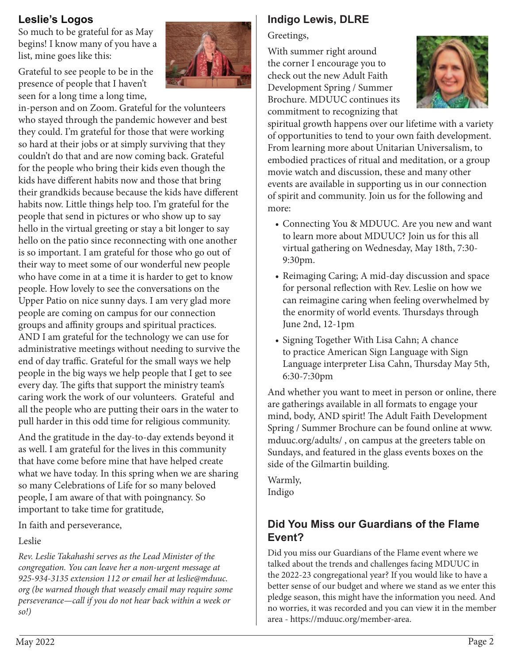#### **Leslie's Logos**

So much to be grateful for as May begins! I know many of you have a list, mine goes like this:

Grateful to see people to be in the presence of people that I haven't seen for a long time a long time,

in-person and on Zoom. Grateful for the volunteers who stayed through the pandemic however and best they could. I'm grateful for those that were working so hard at their jobs or at simply surviving that they couldn't do that and are now coming back. Grateful for the people who bring their kids even though the kids have different habits now and those that bring their grandkids because because the kids have different habits now. Little things help too. I'm grateful for the people that send in pictures or who show up to say hello in the virtual greeting or stay a bit longer to say hello on the patio since reconnecting with one another is so important. I am grateful for those who go out of their way to meet some of our wonderful new people who have come in at a time it is harder to get to know people. How lovely to see the conversations on the Upper Patio on nice sunny days. I am very glad more people are coming on campus for our connection groups and affinity groups and spiritual practices. AND I am grateful for the technology we can use for administrative meetings without needing to survive the end of day traffic. Grateful for the small ways we help people in the big ways we help people that I get to see every day. The gifts that support the ministry team's caring work the work of our volunteers. Grateful and all the people who are putting their oars in the water to pull harder in this odd time for religious community.

And the gratitude in the day-to-day extends beyond it as well. I am grateful for the lives in this community that have come before mine that have helped create what we have today. In this spring when we are sharing so many Celebrations of Life for so many beloved people, I am aware of that with poingnancy. So important to take time for gratitude,

In faith and perseverance,

#### Leslie

*Rev. Leslie Takahashi serves as the Lead Minister of the congregation. You can leave her a non-urgent message at 925-934-3135 extension 112 or email her at leslie@mduuc. org (be warned though that weasely email may require some perseverance—call if you do not hear back within a week or so!)*



#### **Indigo Lewis, DLRE**

Greetings,

With summer right around the corner I encourage you to check out the new Adult Faith Development Spring / Summer Brochure. MDUUC continues its commitment to recognizing that



spiritual growth happens over our lifetime with a variety of opportunities to tend to your own faith development. From learning more about Unitarian Universalism, to embodied practices of ritual and meditation, or a group movie watch and discussion, these and many other events are available in supporting us in our connection of spirit and community. Join us for the following and more:

- Connecting You & MDUUC. Are you new and want to learn more about MDUUC? Join us for this all virtual gathering on Wednesday, May 18th, 7:30- 9:30pm.
- Reimaging Caring; A mid-day discussion and space for personal reflection with Rev. Leslie on how we can reimagine caring when feeling overwhelmed by the enormity of world events. Thursdays through June 2nd, 12-1pm
- Signing Together With Lisa Cahn; A chance to practice American Sign Language with Sign Language interpreter Lisa Cahn, Thursday May 5th, 6:30-7:30pm

And whether you want to meet in person or online, there are gatherings available in all formats to engage your mind, body, AND spirit! The Adult Faith Development Spring / Summer Brochure can be found online at www. mduuc.org/adults/ , on campus at the greeters table on Sundays, and featured in the glass events boxes on the side of the Gilmartin building.

Warmly, Indigo

#### **Did You Miss our Guardians of the Flame Event?**

Did you miss our Guardians of the Flame event where we talked about the trends and challenges facing MDUUC in the 2022-23 congregational year? If you would like to have a better sense of our budget and where we stand as we enter this pledge season, this might have the information you need. And no worries, it was recorded and you can view it in the member area - https://mduuc.org/member-area.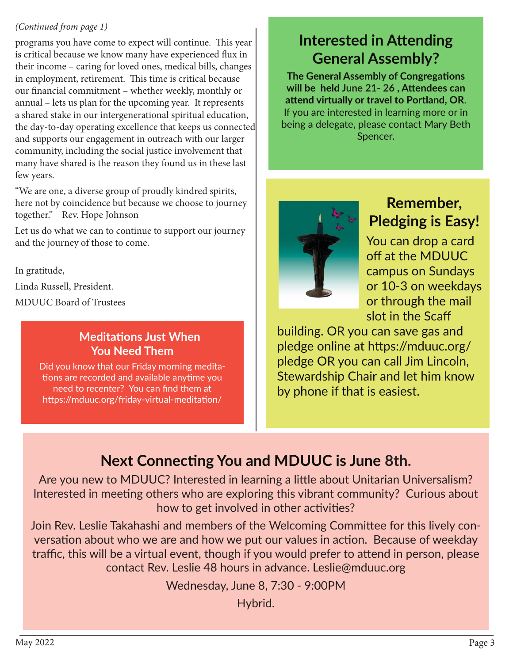#### *(Continued from page 1)*

programs you have come to expect will continue. This year is critical because we know many have experienced flux in their income – caring for loved ones, medical bills, changes in employment, retirement. This time is critical because our financial commitment – whether weekly, monthly or annual – lets us plan for the upcoming year. It represents a shared stake in our intergenerational spiritual education, the day-to-day operating excellence that keeps us connected and supports our engagement in outreach with our larger community, including the social justice involvement that many have shared is the reason they found us in these last few years.

"We are one, a diverse group of proudly kindred spirits, here not by coincidence but because we choose to journey together." Rev. Hope Johnson

Let us do what we can to continue to support our journey and the journey of those to come.

In gratitude,

Linda Russell, President.

MDUUC Board of Trustees

### **Meditations Just When You Need Them**

Did you know that our Friday morning meditations are recorded and available anytime you need to recenter? You can find them at https://mduuc.org/friday-virtual-meditation/

# **Interested in Attending General Assembly?**

**The General Assembly of Congregations will be held June 21- 26 , Attendees can attend virtually or travel to Portland, OR**. If you are interested in learning more or in being a delegate, please contact Mary Beth Spencer.



# **Remember, Pledging is Easy!**

You can drop a card off at the MDUUC campus on Sundays or 10-3 on weekdays or through the mail slot in the Scaff

building. OR you can save gas and pledge online at https://mduuc.org/ pledge OR you can call Jim Lincoln, Stewardship Chair and let him know by phone if that is easiest.

# **Next Connecting You and MDUUC is June 8th.**

Are you new to MDUUC? Interested in learning a little about Unitarian Universalism? Interested in meeting others who are exploring this vibrant community? Curious about how to get involved in other activities?

Join Rev. Leslie Takahashi and members of the Welcoming Committee for this lively conversation about who we are and how we put our values in action. Because of weekday traffic, this will be a virtual event, though if you would prefer to attend in person, please contact Rev. Leslie 48 hours in advance. Leslie@mduuc.org

Wednesday, June 8, 7:30 - 9:00PM

Hybrid.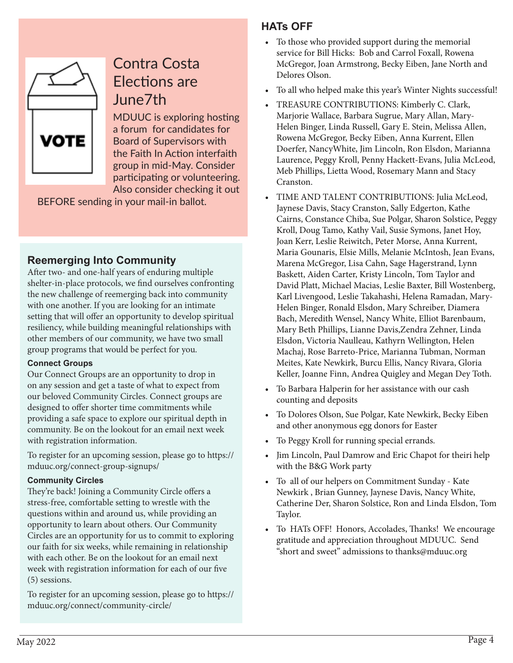

# Contra Costa Elections are June7th

MDUUC is exploring hosting a forum for candidates for Board of Supervisors with the Faith In Action interfaith group in mid-May. Consider participating or volunteering. Also consider checking it out

BEFORE sending in your mail-in ballot.

#### **Reemerging Into Community**

After two- and one-half years of enduring multiple shelter-in-place protocols, we find ourselves confronting the new challenge of reemerging back into community with one another. If you are looking for an intimate setting that will offer an opportunity to develop spiritual resiliency, while building meaningful relationships with other members of our community, we have two small group programs that would be perfect for you.

#### **Connect Groups**

Our Connect Groups are an opportunity to drop in on any session and get a taste of what to expect from our beloved Community Circles. Connect groups are designed to offer shorter time commitments while providing a safe space to explore our spiritual depth in community. Be on the lookout for an email next week with registration information.

To register for an upcoming session, please go to https:// mduuc.org/connect-group-signups/

#### **Community Circles**

They're back! Joining a Community Circle offers a stress-free, comfortable setting to wrestle with the questions within and around us, while providing an opportunity to learn about others. Our Community Circles are an opportunity for us to commit to exploring our faith for six weeks, while remaining in relationship with each other. Be on the lookout for an email next week with registration information for each of our five (5) sessions.

To register for an upcoming session, please go to https:// mduuc.org/connect/community-circle/

### **HATs OFF**

- To those who provided support during the memorial service for Bill Hicks: Bob and Carrol Foxall, Rowena McGregor, Joan Armstrong, Becky Eiben, Jane North and Delores Olson.
- To all who helped make this year's Winter Nights successful!
- TREASURE CONTRIBUTIONS: Kimberly C. Clark, Marjorie Wallace, Barbara Sugrue, Mary Allan, Mary-Helen Binger, Linda Russell, Gary E. Stein, Melissa Allen, Rowena McGregor, Becky Eiben, Anna Kurrent, Ellen Doerfer, NancyWhite, Jim Lincoln, Ron Elsdon, Marianna Laurence, Peggy Kroll, Penny Hackett-Evans, Julia McLeod, Meb Phillips, Lietta Wood, Rosemary Mann and Stacy Cranston.
- TIME AND TALENT CONTRIBUTIONS: Julia McLeod, Jaynese Davis, Stacy Cranston, Sally Edgerton, Kathe Cairns, Constance Chiba, Sue Polgar, Sharon Solstice, Peggy Kroll, Doug Tamo, Kathy Vail, Susie Symons, Janet Hoy, Joan Kerr, Leslie Reiwitch, Peter Morse, Anna Kurrent, Maria Gounaris, Elsie Mills, Melanie McIntosh, Jean Evans, Marena McGregor, Lisa Cahn, Sage Hagerstrand, Lynn Baskett, Aiden Carter, Kristy Lincoln, Tom Taylor and David Platt, Michael Macias, Leslie Baxter, Bill Wostenberg, Karl Livengood, Leslie Takahashi, Helena Ramadan, Mary-Helen Binger, Ronald Elsdon, Mary Schreiber, Diamera Bach, Meredith Wensel, Nancy White, Elliot Barenbaum, Mary Beth Phillips, Lianne Davis,Zendra Zehner, Linda Elsdon, Victoria Naulleau, Kathyrn Wellington, Helen Machaj, Rose Barreto-Price, Marianna Tubman, Norman Meites, Kate Newkirk, Burcu Ellis, Nancy Rivara, Gloria Keller, Joanne Finn, Andrea Quigley and Megan Dey Toth.
- To Barbara Halperin for her assistance with our cash counting and deposits
- To Dolores Olson, Sue Polgar, Kate Newkirk, Becky Eiben and other anonymous egg donors for Easter
- To Peggy Kroll for running special errands.
- Jim Lincoln, Paul Damrow and Eric Chapot for theiri help with the B&G Work party
- To all of our helpers on Commitment Sunday Kate Newkirk , Brian Gunney, Jaynese Davis, Nancy White, Catherine Der, Sharon Solstice, Ron and Linda Elsdon, Tom Taylor.
- To HATs OFF! Honors, Accolades, Thanks! We encourage gratitude and appreciation throughout MDUUC. Send "short and sweet" admissions to thanks@mduuc.org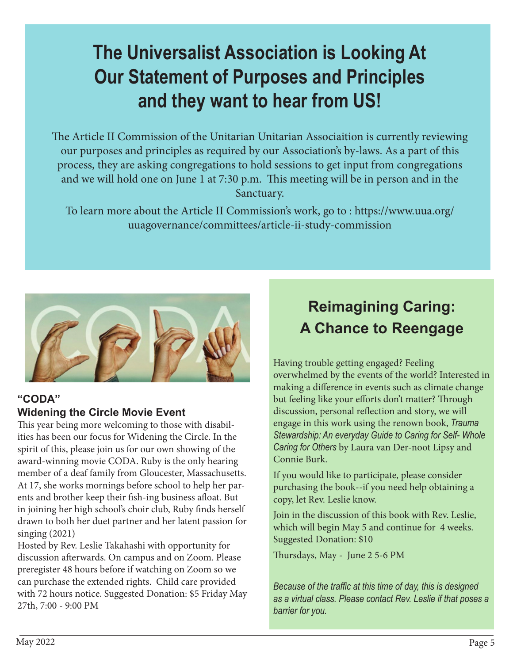# **The Universalist Association is Looking At Our Statement of Purposes and Principles and they want to hear from US!**

The Article II Commission of the Unitarian Unitarian Associaition is currently reviewing our purposes and principles as required by our Association's by-laws. As a part of this process, they are asking congregations to hold sessions to get input from congregations and we will hold one on June 1 at 7:30 p.m. This meeting will be in person and in the Sanctuary.

To learn more about the Article II Commission's work, go to : https://www.uua.org/ uuagovernance/committees/article-ii-study-commission



#### **"CODA" Widening the Circle Movie Event**

This year being more welcoming to those with disabilities has been our focus for Widening the Circle. In the spirit of this, please join us for our own showing of the award-winning movie CODA. Ruby is the only hearing member of a deaf family from Gloucester, Massachusetts. At 17, she works mornings before school to help her parents and brother keep their fish-ing business afloat. But in joining her high school's choir club, Ruby finds herself drawn to both her duet partner and her latent passion for singing (2021)

Hosted by Rev. Leslie Takahashi with opportunity for discussion afterwards. On campus and on Zoom. Please preregister 48 hours before if watching on Zoom so we can purchase the extended rights. Child care provided with 72 hours notice. Suggested Donation: \$5 Friday May 27th, 7:00 - 9:00 PM

# **Reimagining Caring: A Chance to Reengage**

Having trouble getting engaged? Feeling overwhelmed by the events of the world? Interested in making a difference in events such as climate change but feeling like your efforts don't matter? Through discussion, personal reflection and story, we will engage in this work using the renown book, *Trauma Stewardship: An everyday Guide to Caring for Self- Whole Caring for Others* by Laura van Der-noot Lipsy and Connie Burk.

If you would like to participate, please consider purchasing the book--if you need help obtaining a copy, let Rev. Leslie know.

Join in the discussion of this book with Rev. Leslie, which will begin May 5 and continue for 4 weeks. Suggested Donation: \$10

Thursdays, May - June 2 5-6 PM

*Because of the traffic at this time of day, this is designed as a virtual class. Please contact Rev. Leslie if that poses a barrier for you.*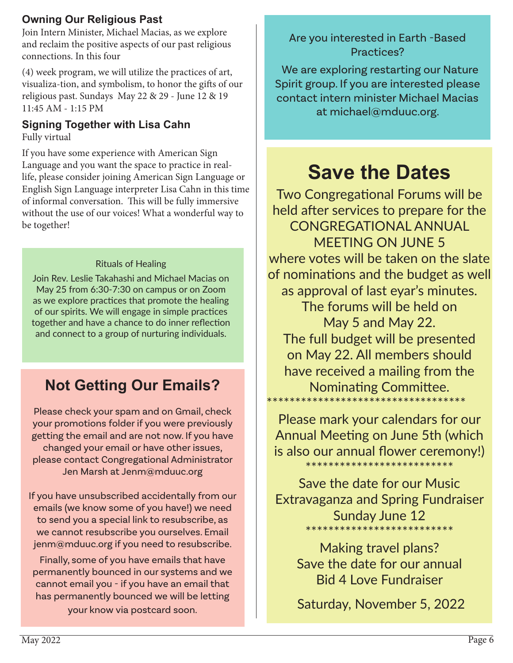### **Owning Our Religious Past**

Join Intern Minister, Michael Macias, as we explore and reclaim the positive aspects of our past religious connections. In this four

(4) week program, we will utilize the practices of art, visualiza-tion, and symbolism, to honor the gifts of our religious past. Sundays May 22 & 29 - June 12 & 19 11:45 AM - 1:15 PM

# **Signing Together with Lisa Cahn**

Fully virtual

If you have some experience with American Sign Language and you want the space to practice in reallife, please consider joining American Sign Language or English Sign Language interpreter Lisa Cahn in this time of informal conversation. This will be fully immersive without the use of our voices! What a wonderful way to be together!

#### Rituals of Healing

Join Rev. Leslie Takahashi and Michael Macias on May 25 from 6:30-7:30 on campus or on Zoom as we explore practices that promote the healing of our spirits. We will engage in simple practices together and have a chance to do inner reflection and connect to a group of nurturing individuals.

# **Not Getting Our Emails?**

Please check your spam and on Gmail, check your promotions folder if you were previously getting the email and are not now. If you have changed your email or have other issues, please contact Congregational Administrator Jen Marsh at Jenm@mduuc.org

If you have unsubscribed accidentally from our emails (we know some of you have!) we need to send you a special link to resubscribe, as we cannot resubscribe you ourselves. Email jenm@mduuc.org if you need to resubscribe.

Finally, some of you have emails that have permanently bounced in our systems and we cannot email you - if you have an email that has permanently bounced we will be letting your know via postcard soon.

## Are you interested in Earth -Based Practices?

 We are exploring restarting our Nature Spirit group. If you are interested please contact intern minister Michael Macias at michael@mduuc.org.

# **Save the Dates**

Two Congregational Forums will be held after services to prepare for the CONGREGATIONAL ANNUAL MEETING ON JUNE 5 where votes will be taken on the slate of nominations and the budget as well as approval of last eyar's minutes. The forums will be held on May 5 and May 22. The full budget will be presented on May 22. All members should have received a mailing from the Nominating Committee. \*\*\*\*\*\*\*\*\*\*\*\*\*\*\*\*\*\*\*\*\*\*\*\*\*\*\*\*\*\*\*\*\*\*\*

Please mark your calendars for our Annual Meeting on June 5th (which is also our annual flower ceremony!) \*\*\*\*\*\*\*\*\*\*\*\*\*\*\*\*\*\*\*\*\*\*\*\*\*\*

Save the date for our Music Extravaganza and Spring Fundraiser Sunday June 12 \*\*\*\*\*\*\*\*\*\*\*\*\*\*\*\*\*\*\*\*\*\*\*\*\*\*

Making travel plans? Save the date for our annual Bid 4 Love Fundraiser

Saturday, November 5, 2022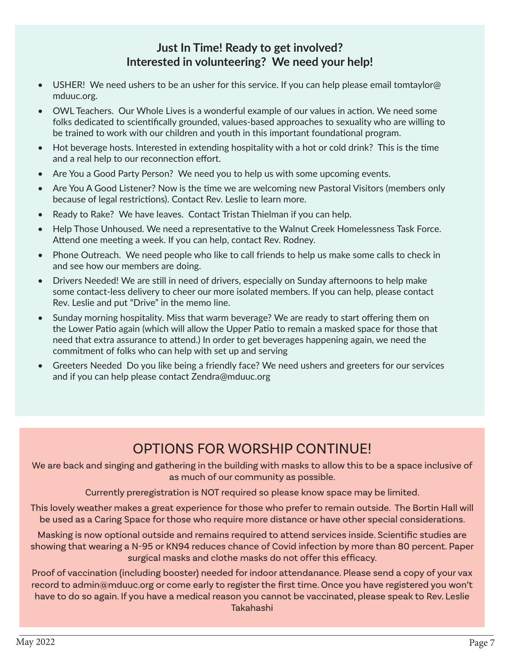#### **Just In Time! Ready to get involved? Interested in volunteering? We need your help!**

- USHER! We need ushers to be an usher for this service. If you can help please email tomtaylor@ mduuc.org.
- OWL Teachers. Our Whole Lives is a wonderful example of our values in action. We need some folks dedicated to scientifically grounded, values-based approaches to sexuality who are willing to be trained to work with our children and youth in this important foundational program.
- Hot beverage hosts. Interested in extending hospitality with a hot or cold drink? This is the time and a real help to our reconnection effort.
- Are You a Good Party Person? We need you to help us with some upcoming events.
- Are You A Good Listener? Now is the time we are welcoming new Pastoral Visitors (members only because of legal restrictions). Contact Rev. Leslie to learn more.
- Ready to Rake? We have leaves. Contact Tristan Thielman if you can help.
- Help Those Unhoused. We need a representative to the Walnut Creek Homelessness Task Force. Attend one meeting a week. If you can help, contact Rev. Rodney.
- Phone Outreach. We need people who like to call friends to help us make some calls to check in and see how our members are doing.
- Drivers Needed! We are still in need of drivers, especially on Sunday afternoons to help make some contact-less delivery to cheer our more isolated members. If you can help, please contact Rev. Leslie and put "Drive" in the memo line.
- Sunday morning hospitality. Miss that warm beverage? We are ready to start offering them on the Lower Patio again (which will allow the Upper Patio to remain a masked space for those that need that extra assurance to attend.) In order to get beverages happening again, we need the commitment of folks who can help with set up and serving
- Greeters Needed Do you like being a friendly face? We need ushers and greeters for our services and if you can help please contact Zendra@mduuc.org

# OPTIONS FOR WORSHIP CONTINUE!

We are back and singing and gathering in the building with masks to allow this to be a space inclusive of as much of our community as possible.

Currently preregistration is NOT required so please know space may be limited.

This lovely weather makes a great experience for those who prefer to remain outside. The Bortin Hall will be used as a Caring Space for those who require more distance or have other special considerations.

Masking is now optional outside and remains required to attend services inside. Scientific studies are showing that wearing a N-95 or KN94 reduces chance of Covid infection by more than 80 percent. Paper surgical masks and clothe masks do not offer this efficacy.

Proof of vaccination (including booster) needed for indoor attendanance. Please send a copy of your vax record to admin@mduuc.org or come early to register the first time. Once you have registered you won't have to do so again. If you have a medical reason you cannot be vaccinated, please speak to Rev. Leslie Takahashi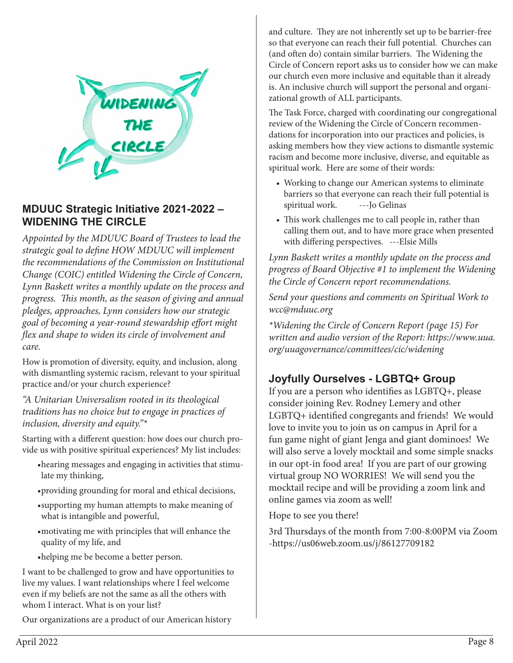

#### **MDUUC Strategic Initiative 2021-2022 – WIDENING THE CIRCLE**

*Appointed by the MDUUC Board of Trustees to lead the strategic goal to define HOW MDUUC will implement the recommendations of the Commission on Institutional Change (COIC) entitled Widening the Circle of Concern, Lynn Baskett writes a monthly update on the process and progress. This month, as the season of giving and annual pledges, approaches, Lynn considers how our strategic goal of becoming a year-round stewardship effort might flex and shape to widen its circle of involvement and care.* 

How is promotion of diversity, equity, and inclusion, along with dismantling systemic racism, relevant to your spiritual practice and/or your church experience?

*"A Unitarian Universalism rooted in its theological traditions has no choice but to engage in practices of inclusion, diversity and equity."\** 

Starting with a different question: how does our church provide us with positive spiritual experiences? My list includes:

- •hearing messages and engaging in activities that stimulate my thinking,
- •providing grounding for moral and ethical decisions,
- •supporting my human attempts to make meaning of what is intangible and powerful,
- •motivating me with principles that will enhance the quality of my life, and
- •helping me be become a better person.

I want to be challenged to grow and have opportunities to live my values. I want relationships where I feel welcome even if my beliefs are not the same as all the others with whom I interact. What is on your list?

Our organizations are a product of our American history

and culture. They are not inherently set up to be barrier-free so that everyone can reach their full potential. Churches can (and often do) contain similar barriers. The Widening the Circle of Concern report asks us to consider how we can make our church even more inclusive and equitable than it already is. An inclusive church will support the personal and organizational growth of ALL participants.

The Task Force, charged with coordinating our congregational review of the Widening the Circle of Concern recommendations for incorporation into our practices and policies, is asking members how they view actions to dismantle systemic racism and become more inclusive, diverse, and equitable as spiritual work. Here are some of their words:

- Working to change our American systems to eliminate barriers so that everyone can reach their full potential is spiritual work. ---Jo Gelinas
- This work challenges me to call people in, rather than calling them out, and to have more grace when presented with differing perspectives. ---Elsie Mills

*Lynn Baskett writes a monthly update on the process and progress of Board Objective #1 to implement the Widening the Circle of Concern report recommendations.* 

*Send your questions and comments on Spiritual Work to wcc@mduuc.org*

*\*Widening the Circle of Concern Report (page 15) For written and audio version of the Report: https://www.uua. org/uuagovernance/committees/cic/widening*

#### **Joyfully Ourselves - LGBTQ+ Group**

If you are a person who identifies as LGBTQ+, please consider joining Rev. Rodney Lemery and other LGBTQ+ identified congregants and friends! We would love to invite you to join us on campus in April for a fun game night of giant Jenga and giant dominoes! We will also serve a lovely mocktail and some simple snacks in our opt-in food area! If you are part of our growing virtual group NO WORRIES! We will send you the mocktail recipe and will be providing a zoom link and online games via zoom as well!

Hope to see you there!

3rd Thursdays of the month from 7:00-8:00PM via Zoom -https://us06web.zoom.us/j/86127709182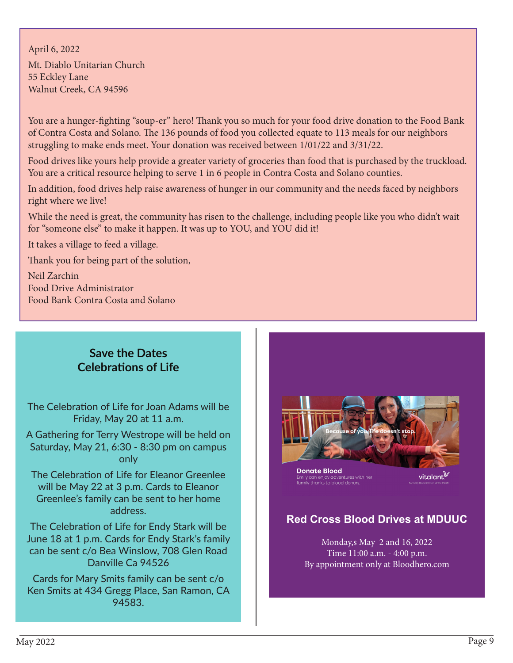April 6, 2022 Mt. Diablo Unitarian Church 55 Eckley Lane Walnut Creek, CA 94596

You are a hunger-fighting "soup-er" hero! Thank you so much for your food drive donation to the Food Bank of Contra Costa and Solano. The 136 pounds of food you collected equate to 113 meals for our neighbors struggling to make ends meet. Your donation was received between 1/01/22 and 3/31/22.

Food drives like yours help provide a greater variety of groceries than food that is purchased by the truckload. You are a critical resource helping to serve 1 in 6 people in Contra Costa and Solano counties.

In addition, food drives help raise awareness of hunger in our community and the needs faced by neighbors right where we live!

While the need is great, the community has risen to the challenge, including people like you who didn't wait for "someone else" to make it happen. It was up to YOU, and YOU did it!

It takes a village to feed a village.

Thank you for being part of the solution,

Neil Zarchin Food Drive Administrator Food Bank Contra Costa and Solano

#### **Save the Dates Celebrations of Life**

The Celebration of Life for Joan Adams will be Friday, May 20 at 11 a.m.

A Gathering for Terry Westrope will be held on Saturday, May 21, 6:30 - 8:30 pm on campus only

The Celebration of Life for Eleanor Greenlee will be May 22 at 3 p.m. Cards to Eleanor Greenlee's family can be sent to her home address.

The Celebration of Life for Endy Stark will be June 18 at 1 p.m. Cards for Endy Stark's family can be sent c/o Bea Winslow, 708 Glen Road Danville Ca 94526

Cards for Mary Smits family can be sent c/o Ken Smits at 434 Gregg Place, San Ramon, CA 94583.



**Donate Blood** tures with her Erriny carrengey adventures wr<br>family thanks to blood donors.

vitalant.

#### **Red Cross Blood Drives at MDUUC**

Monday,s May 2 and 16, 2022 Time 11:00 a.m. - 4:00 p.m. By appointment only at Bloodhero.com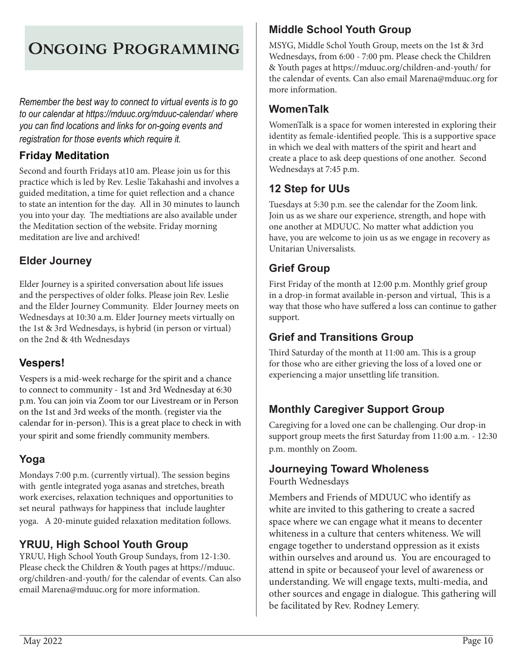# Ongoing Programming

*Remember the best way to connect to virtual events is to go to our calendar at https://mduuc.org/mduuc-calendar/ where you can find locations and links for on-going events and registration for those events which require it.* 

#### **Friday Meditation**

Second and fourth Fridays at10 am. Please join us for this practice which is led by Rev. Leslie Takahashi and involves a guided meditation, a time for quiet reflection and a chance to state an intention for the day. All in 30 minutes to launch you into your day. The medtiations are also available under the Meditation section of the website. Friday morning meditation are live and archived!

### **Elder Journey**

Elder Journey is a spirited conversation about life issues and the perspectives of older folks. Please join Rev. Leslie and the Elder Journey Community. Elder Journey meets on Wednesdays at 10:30 a.m. Elder Journey meets virtually on the 1st & 3rd Wednesdays, is hybrid (in person or virtual) on the 2nd & 4th Wednesdays

#### **Vespers!**

Vespers is a mid-week recharge for the spirit and a chance to connect to community - 1st and 3rd Wednesday at 6:30 p.m. You can join via Zoom tor our Livestream or in Person on the 1st and 3rd weeks of the month. (register via the calendar for in-person). This is a great place to check in with your spirit and some friendly community members.

#### **Yoga**

Mondays 7:00 p.m. (currently virtual). The session begins with gentle integrated yoga asanas and stretches, breath work exercises, relaxation techniques and opportunities to set neural pathways for happiness that include laughter yoga. A 20-minute guided relaxation meditation follows.

#### **YRUU, High School Youth Group**

YRUU, High School Youth Group Sundays, from 12-1:30. Please check the Children & Youth pages at https://mduuc. org/children-and-youth/ for the calendar of events. Can also email Marena@mduuc.org for more information.

### **Middle School Youth Group**

MSYG, Middle Schol Youth Group, meets on the 1st & 3rd Wednesdays, from 6:00 - 7:00 pm. Please check the Children & Youth pages at https://mduuc.org/children-and-youth/ for the calendar of events. Can also email Marena@mduuc.org for more information.

#### **WomenTalk**

WomenTalk is a space for women interested in exploring their identity as female-identified people. This is a supportive space in which we deal with matters of the spirit and heart and create a place to ask deep questions of one another. Second Wednesdays at 7:45 p.m.

### **12 Step for UUs**

Tuesdays at 5:30 p.m. see the calendar for the Zoom link. Join us as we share our experience, strength, and hope with one another at MDUUC. No matter what addiction you have, you are welcome to join us as we engage in recovery as Unitarian Universalists.

### **Grief Group**

First Friday of the month at 12:00 p.m. Monthly grief group in a drop-in format available in-person and virtual, This is a way that those who have suffered a loss can continue to gather support.

### **Grief and Transitions Group**

Third Saturday of the month at 11:00 am. This is a group for those who are either grieving the loss of a loved one or experiencing a major unsettling life transition.

## **Monthly Caregiver Support Group**

Caregiving for a loved one can be challenging. Our drop-in support group meets the first Saturday from 11:00 a.m. - 12:30 p.m. monthly on Zoom.

#### **Journeying Toward Wholeness**

Fourth Wednesdays

Members and Friends of MDUUC who identify as white are invited to this gathering to create a sacred space where we can engage what it means to decenter whiteness in a culture that centers whiteness. We will engage together to understand oppression as it exists within ourselves and around us. You are encouraged to attend in spite or becauseof your level of awareness or understanding. We will engage texts, multi-media, and other sources and engage in dialogue. This gathering will be facilitated by Rev. Rodney Lemery.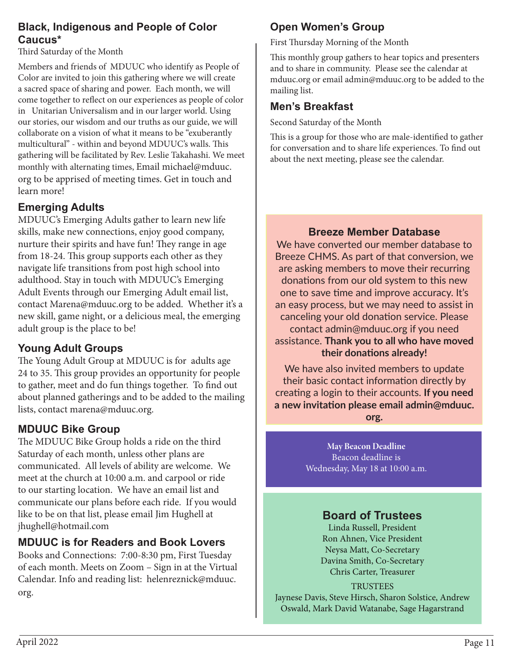#### **Black, Indigenous and People of Color Caucus\***

Third Saturday of the Month

Members and friends of MDUUC who identify as People of Color are invited to join this gathering where we will create a sacred space of sharing and power. Each month, we will come together to reflect on our experiences as people of color in Unitarian Universalism and in our larger world. Using our stories, our wisdom and our truths as our guide, we will collaborate on a vision of what it means to be "exuberantly multicultural" - within and beyond MDUUC's walls. This gathering will be facilitated by Rev. Leslie Takahashi. We meet monthly with alternating times, Email michael@mduuc. org to be apprised of meeting times. Get in touch and learn more!

#### **Emerging Adults**

MDUUC's Emerging Adults gather to learn new life skills, make new connections, enjoy good company, nurture their spirits and have fun! They range in age from 18-24. This group supports each other as they navigate life transitions from post high school into adulthood. Stay in touch with MDUUC's Emerging Adult Events through our Emerging Adult email list, contact Marena@mduuc.org to be added. Whether it's a new skill, game night, or a delicious meal, the emerging adult group is the place to be!

#### **Young Adult Groups**

The Young Adult Group at MDUUC is for adults age 24 to 35. This group provides an opportunity for people to gather, meet and do fun things together. To find out about planned gatherings and to be added to the mailing lists, contact marena@mduuc.org.

#### **MDUUC Bike Group**

The MDUUC Bike Group holds a ride on the third Saturday of each month, unless other plans are communicated. All levels of ability are welcome. We meet at the church at 10:00 a.m. and carpool or ride to our starting location. We have an email list and communicate our plans before each ride. If you would like to be on that list, please email Jim Hughell at jhughell@hotmail.com

#### **MDUUC is for Readers and Book Lovers**

Books and Connections: 7:00-8:30 pm, First Tuesday of each month. Meets on Zoom – Sign in at the Virtual Calendar. Info and reading list: helenreznick@mduuc. org.

## **Open Women's Group**

First Thursday Morning of the Month

This monthly group gathers to hear topics and presenters and to share in community. Please see the calendar at mduuc.org or email admin@mduuc.org to be added to the mailing list.

### **Men's Breakfast**

Second Saturday of the Month

This is a group for those who are male-identified to gather for conversation and to share life experiences. To find out about the next meeting, please see the calendar.

#### **Breeze Member Database**

We have converted our member database to Breeze CHMS. As part of that conversion, we are asking members to move their recurring donations from our old system to this new one to save time and improve accuracy. It's an easy process, but we may need to assist in canceling your old donation service. Please contact admin@mduuc.org if you need assistance. **Thank you to all who have moved their donations already!**

We have also invited members to update their basic contact information directly by creating a login to their accounts. **If you need a new invitation please email admin@mduuc. org.** 

> **May Beacon Deadline** Beacon deadline is Wednesday, May 18 at 10:00 a.m.

#### **Board of Trustees**

Linda Russell, President Ron Ahnen, Vice President Neysa Matt, Co-Secretary Davina Smith, Co-Secretary Chris Carter, Treasurer

**TRUSTEES** Jaynese Davis, Steve Hirsch, Sharon Solstice, Andrew Oswald, Mark David Watanabe, Sage Hagarstrand